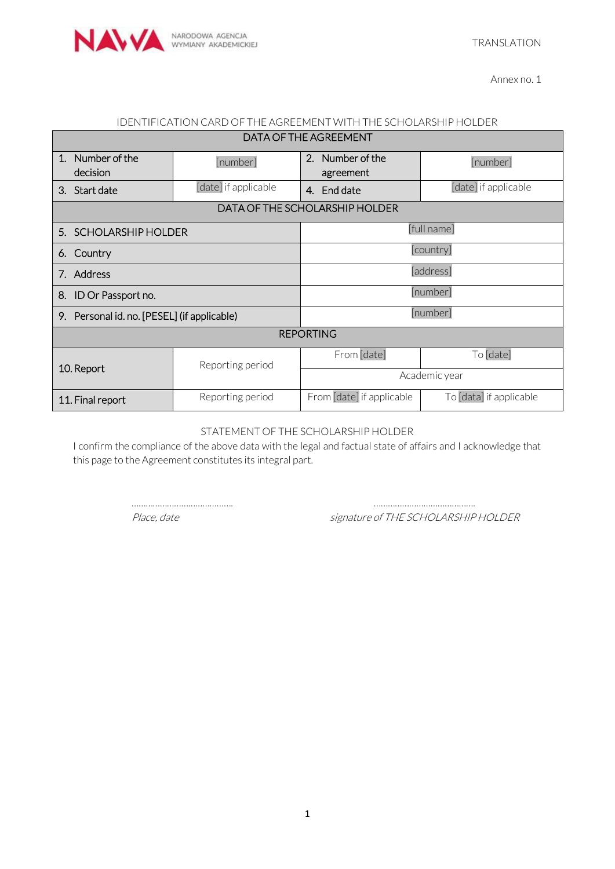

Annex no. 1

#### IDENTIFICATION CARD OF THE AGREEMENT WITH THE SCHOLARSHIP HOLDER DATA OF THE AGREEMENT

| DATA OF THE AGREEMENT                       |                      |                               |                         |
|---------------------------------------------|----------------------|-------------------------------|-------------------------|
| Number of the<br>$\mathbf{1}$ .<br>decision | [number]             | 2. Number of the<br>agreement | [number]                |
| Start date<br>3.                            | [date] if applicable | 4. End date                   | [date] if applicable    |
| DATA OF THE SCHOLARSHIP HOLDER              |                      |                               |                         |
| 5. SCHOLARSHIP HOLDER                       |                      | [full name]                   |                         |
| Country<br>6.                               |                      | [country]                     |                         |
| 7. Address                                  |                      | [address]                     |                         |
| 8.<br>ID Or Passport no.                    |                      | [number]                      |                         |
| 9. Personal id. no. [PESEL] (if applicable) |                      | [number]                      |                         |
| <b>REPORTING</b>                            |                      |                               |                         |
| 10. Report                                  | Reporting period     | From [date]                   | To [date]               |
|                                             |                      | Academic year                 |                         |
| 11. Final report                            | Reporting period     | From [date] if applicable     | To [data] if applicable |

STATEMENT OF THE SCHOLARSHIP HOLDER

I confirm the compliance of the above data with the legal and factual state of affairs and I acknowledge that this page to the Agreement constitutes its integral part.

……………………………………. …………………………………….

Place, date signature of THE SCHOLARSHIP HOLDER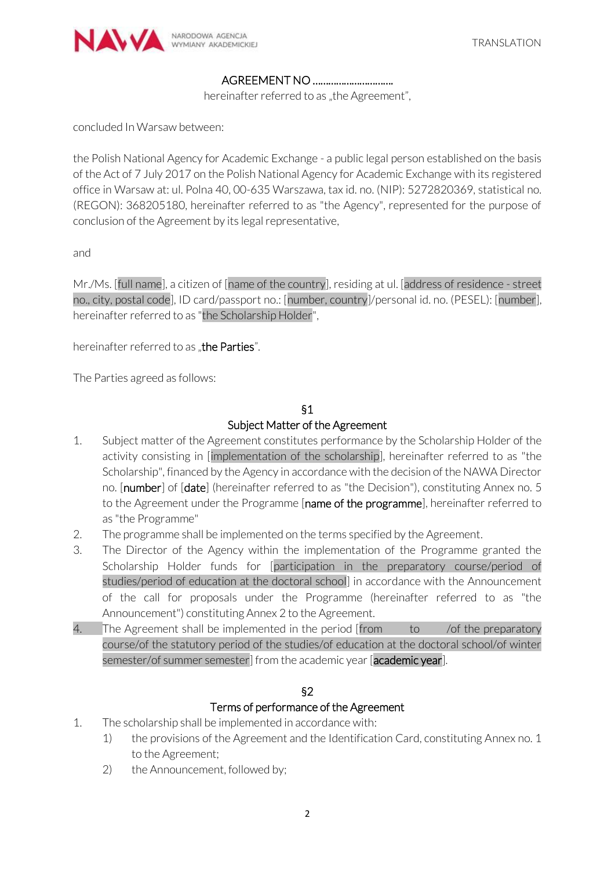

#### AGREEMENT NO ………………………….

hereinafter referred to as "the Agreement",

concluded In Warsaw between:

the Polish National Agency for Academic Exchange - a public legal person established on the basis of the Act of 7 July 2017 on the Polish National Agency for Academic Exchange with its registered office in Warsaw at: ul. Polna 40, 00-635 Warszawa, tax id. no. (NIP): 5272820369, statistical no. (REGON): 368205180, hereinafter referred to as "the Agency", represented for the purpose of conclusion of the Agreement by its legal representative,

and

Mr./Ms. [full name], a citizen of [name of the country], residing at ul. [address of residence - street no., city, postal code], ID card/passport no.: [number, country]/personal id. no. (PESEL): [number], hereinafter referred to as "the Scholarship Holder",

hereinafter referred to as "the Parties".

The Parties agreed as follows:

#### §1 Subject Matter of the Agreement

- 1. Subject matter of the Agreement constitutes performance by the Scholarship Holder of the activity consisting in [implementation of the scholarship], hereinafter referred to as "the Scholarship", financed by the Agency in accordance with the decision of the NAWA Director no. [number] of [date] (hereinafter referred to as "the Decision"), constituting Annex no. 5 to the Agreement under the Programme [name of the programme], hereinafter referred to as "the Programme"
- 2. The programme shall be implemented on the terms specified by the Agreement.
- 3. The Director of the Agency within the implementation of the Programme granted the Scholarship Holder funds for [participation in the preparatory course/period of studies/period of education at the doctoral school] in accordance with the Announcement of the call for proposals under the Programme (hereinafter referred to as "the Announcement") constituting Annex 2 to the Agreement.
- 4. The Agreement shall be implemented in the period [from to /of the preparatory course/of the statutory period of the studies/of education at the doctoral school/of winter semester/of summer semester] from the academic year [academic year].

# §2

#### Terms of performance of the Agreement

- 1. The scholarship shall be implemented in accordance with:
	- 1) the provisions of the Agreement and the Identification Card, constituting Annex no. 1 to the Agreement;
	- 2) the Announcement, followed by;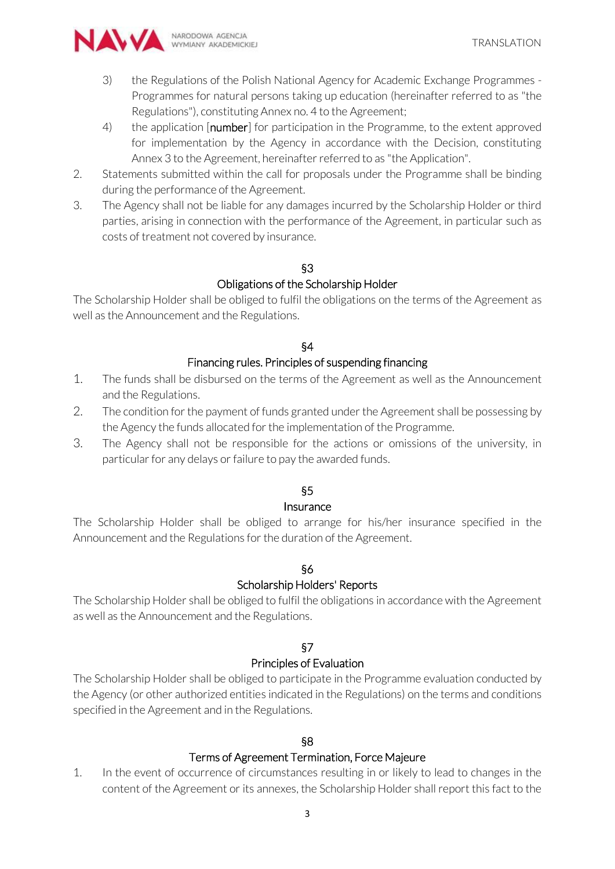

- 3) the Regulations of the Polish National Agency for Academic Exchange Programmes Programmes for natural persons taking up education (hereinafter referred to as "the Regulations"), constituting Annex no. 4 to the Agreement;
- 4) the application [number] for participation in the Programme, to the extent approved for implementation by the Agency in accordance with the Decision, constituting Annex 3 to the Agreement, hereinafter referred to as "the Application".
- 2. Statements submitted within the call for proposals under the Programme shall be binding during the performance of the Agreement.
- 3. The Agency shall not be liable for any damages incurred by the Scholarship Holder or third parties, arising in connection with the performance of the Agreement, in particular such as costs of treatment not covered by insurance.

# §3

# Obligations of the Scholarship Holder

The Scholarship Holder shall be obliged to fulfil the obligations on the terms of the Agreement as well as the Announcement and the Regulations.

#### §4

#### Financing rules. Principles of suspending financing

- 1. The funds shall be disbursed on the terms of the Agreement as well as the Announcement and the Regulations.
- 2. The condition for the payment of funds granted under the Agreement shall be possessing by the Agency the funds allocated for the implementation of the Programme.
- 3. The Agency shall not be responsible for the actions or omissions of the university, in particular for any delays or failure to pay the awarded funds.

# §5

#### Insurance

The Scholarship Holder shall be obliged to arrange for his/her insurance specified in the Announcement and the Regulations for the duration of the Agreement.

# §6

# Scholarship Holders' Reports

The Scholarship Holder shall be obliged to fulfil the obligations in accordance with the Agreement as well as the Announcement and the Regulations.

# §7

#### Principles of Evaluation

The Scholarship Holder shall be obliged to participate in the Programme evaluation conducted by the Agency (or other authorized entities indicated in the Regulations) on the terms and conditions specified in the Agreement and in the Regulations.

# §8

#### Terms of Agreement Termination, Force Majeure

1. In the event of occurrence of circumstances resulting in or likely to lead to changes in the content of the Agreement or its annexes, the Scholarship Holder shall report this fact to the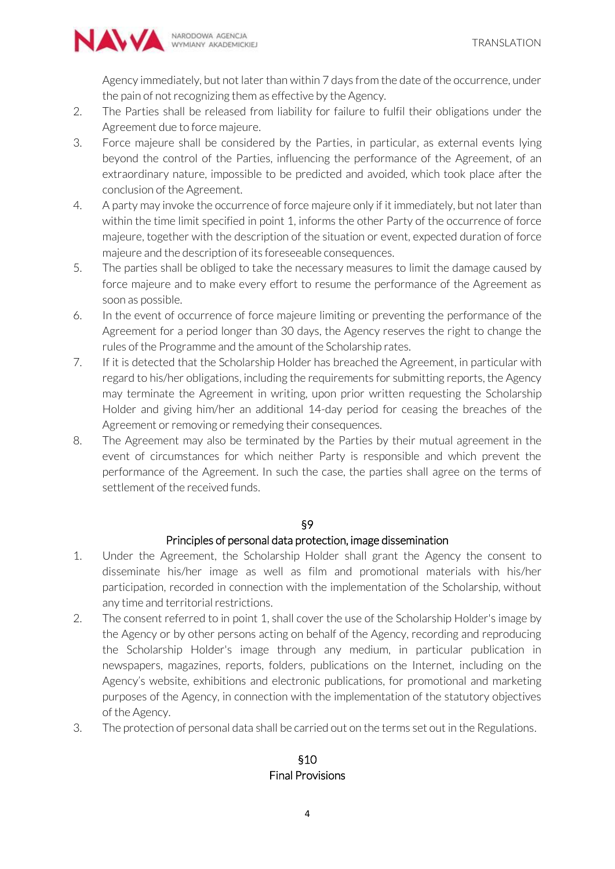

Agency immediately, but not later than within 7 days from the date of the occurrence, under the pain of not recognizing them as effective by the Agency.

- 2. The Parties shall be released from liability for failure to fulfil their obligations under the Agreement due to force majeure.
- 3. Force majeure shall be considered by the Parties, in particular, as external events lying beyond the control of the Parties, influencing the performance of the Agreement, of an extraordinary nature, impossible to be predicted and avoided, which took place after the conclusion of the Agreement.
- 4. A party may invoke the occurrence of force majeure only if it immediately, but not later than within the time limit specified in point 1, informs the other Party of the occurrence of force majeure, together with the description of the situation or event, expected duration of force majeure and the description of its foreseeable consequences.
- 5. The parties shall be obliged to take the necessary measures to limit the damage caused by force majeure and to make every effort to resume the performance of the Agreement as soon as possible.
- 6. In the event of occurrence of force majeure limiting or preventing the performance of the Agreement for a period longer than 30 days, the Agency reserves the right to change the rules of the Programme and the amount of the Scholarship rates.
- 7. If it is detected that the Scholarship Holder has breached the Agreement, in particular with regard to his/her obligations, including the requirements for submitting reports, the Agency may terminate the Agreement in writing, upon prior written requesting the Scholarship Holder and giving him/her an additional 14-day period for ceasing the breaches of the Agreement or removing or remedying their consequences.
- 8. The Agreement may also be terminated by the Parties by their mutual agreement in the event of circumstances for which neither Party is responsible and which prevent the performance of the Agreement. In such the case, the parties shall agree on the terms of settlement of the received funds.

#### §9

# Principles of personal data protection, image dissemination

- 1. Under the Agreement, the Scholarship Holder shall grant the Agency the consent to disseminate his/her image as well as film and promotional materials with his/her participation, recorded in connection with the implementation of the Scholarship, without any time and territorial restrictions.
- 2. The consent referred to in point 1, shall cover the use of the Scholarship Holder's image by the Agency or by other persons acting on behalf of the Agency, recording and reproducing the Scholarship Holder's image through any medium, in particular publication in newspapers, magazines, reports, folders, publications on the Internet, including on the Agency's website, exhibitions and electronic publications, for promotional and marketing purposes of the Agency, in connection with the implementation of the statutory objectives of the Agency.
- 3. The protection of personal data shall be carried out on the terms set out in the Regulations.

# §10 Final Provisions